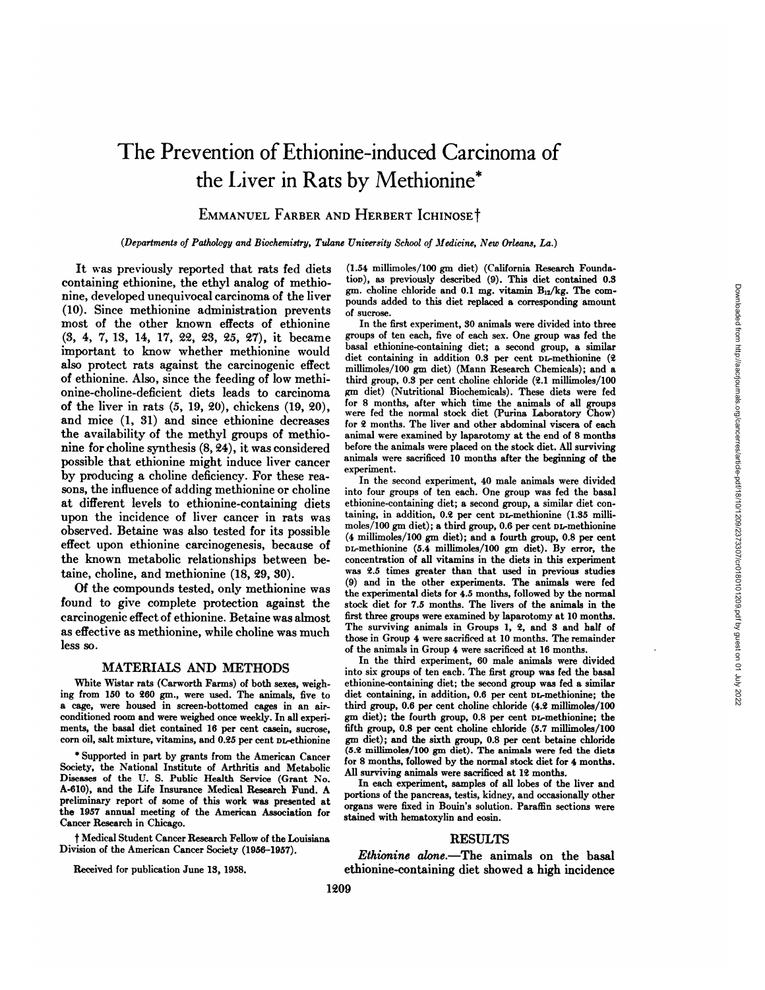# The Prevention of Ethionine-induced Carcinoma of the Liver in Rats by Methionine\*

EMMANUEL FARBER AND HERBERT ICHINOSET

*(Departments of Pathology and Biochemistry, Tidane University School of Medicine, New Orleans, La.)*

It was previously reported that rats fed diets containing ethionine, the ethyl analog of methionine, developed unequivocal carcinoma of the liver (10). Since methionine administration prevents most of the other known effects of ethionine (3, 4, 7, 13, 14, 17, 22, 23, 25, 27), it became important to know whether methionine would also protect rats against the carcinogenic effect of ethionine. Also, since the feeding of low methionine-choline-deficient diets leads to carcinoma of the liver in rats (5, 19, 20), chickens (19, 20), and mice (1, 31) and since ethionine decreases the availability of the methyl groups of methio nine for choline synthesis (8, 24), it was considered possible that ethionine might induce liver cancer by producing a choline deficiency. For these rea sons, the influence of adding methionine or choline at different levels to ethionine-containing diets upon the incidence of liver cancer in rats was observed. Betaine was also tested for its possible effect upon ethionine carcinogenesis, because of the known metabolic relationships between betaine, choline, and methionine (18, 29, 30).

Of the compounds tested, only methionine was found to give complete protection against the carcinogenic effect of ethionine. Betaine was almost as effective as methionine, while choline was much less so.

## MATERIALS AND METHODS

White Wistar rats (Carworth Farms) of both sexes, weigh ing from 150 to 260 gm., were used. The animals, five to a cage, were housed in screen-bottomed cages in an airconditioned room and were weighed once weekly. In all experi ments, the basal diet contained 16 per cent casein, sucrose, corn oil, salt mixture, vitamins, and 0.25 per cent DL-ethionine

\* Supported in part by grants from the American Cancer Society, the National Institute of Arthritis and Metabolic Diseases of the U. S. Public Health Service (Grant No. A-610), and the Life Insurance Medical Research Fund. A preliminary report of some of this work was presented at the 1957 annual meeting of the American Association for Cancer Research in Chicago.

t Medical Student Cancer Research Fellow of the Louisiana Division of the American Cancer Society (1956-1957).

Received for publication June 13, 1958.

(1.54 millimoles/100 gm diet) (California Research Founda tion), as previously described (9). This diet contained 0.8 gm. choline chloride and 0.1 mg. vitamin  $B_{12}/kg$ . The compounds added to this diet replaced a corresponding amount of sucrose.

In the first experiment, 30 animals were divided into three groups of ten each, five of each sex. One group was fed the basal ethionine-containing diet; a second group, a similar diet containing in addition 0.8 per cent DL-methionine (2 millimoles/100 gm diet) (Mann Research Chemicals); and a third group, 0.8 per cent choline chloride (2.1 millimoles/100 gm diet) (Nutritional Biochemicals). These diets were fed for <sup>8</sup> months, after which time the animals of all groups were fed the normal stock diet (Purina Laboratory Chow) for 2 months. The liver and other abdominal viscera of each animal were examined by laparotomy at the end of 8 months before the animals were placed on the stock diet. All surviving animals were sacrificed 10 months after the beginning of the experiment.

In the second experiment, 40 male animals were divided into four groups of ten each. One group was fed the basal ethionine-containing diet; a second group, a similar diet con taining, in addition, 0.2 per cent DL-methionine (1.35 milli moles/100 gm diet); a third group, 0.6 per cent DL-methionine (4 millimoles/100 gm diet); and a fourth group, 0.8 per cent DL-methionine (5.4 millimoles/100 gm diet). By error, the concentration of all vitamins in the diets in this experiment was 2.5 times greater than that used in previous studies (9) and in the other experiments. The animals were fed the experimental diets for 4.5 months, followed by the normal stock diet for 7.5 months. The livers of the animals in the first three groups were examined by laparotomy at 10 months. The surviving animals in Groups 1, 2, and 8 and half of those in Group 4 were sacrificed at 10 months. The remainder of the animals in Group 4 were sacrificed at 16 months.

In the third experiment, 60 male animals were divided into six groups of ten each. The first group was fed the basal ethionine-containing diet; the second group was fed a similar diet containing, in addition, 0.6 per cent DL-methionine; the third group, 0.6 per cent choline chloride (4.2 millimoles/100 gm diet); the fourth group, 0.8 per cent DL-methionine; the fifth group, 0.8 per cent choline chloride (5.7 millimoles/100 gm diet); and the sixth group, 0.8 per cent betaine chloride (5.2 millimoles/100 gm diet). The animals were fed the diets for 8 months, followed by the normal stock diet for 4 months. All surviving animals were sacrificed at 12 months.

In each experiment, samples of all lobes of the liver and portions of the pancreas, testis, kidney, and occasionally other organs were fixed in Bouin's solution. Paraffin sections were stained with hematoxylin and eosin.

## **RESULTS**

*Ethionine alone.—The animals on the basal* ethionine-containing diet showed a high incidence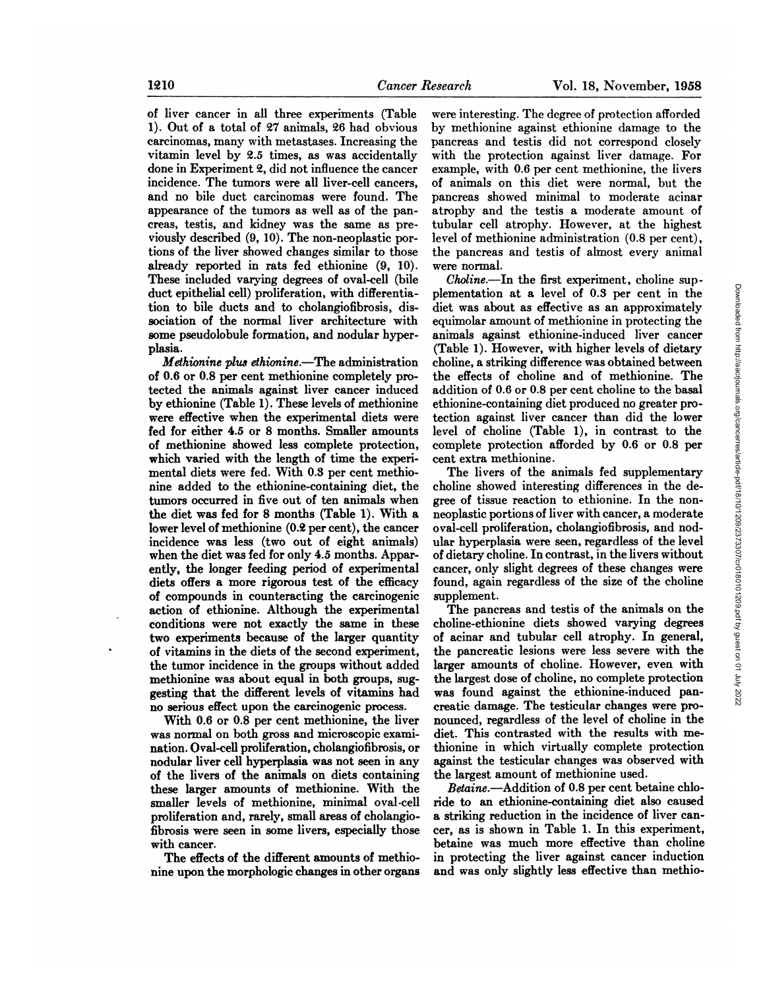of liver cancer in all three experiments (Table 1). Out of a total of 27 animals, 26 had obvious carcinomas, many with métastases.Increasing the vitamin level by 2.5 times, as was accidentally done in Experiment 2, did not influence the cancer incidence. The tumors were all liver-cell cancers, and no bile duct carcinomas were found. The appearance of the tumors as well as of the pan creas, testis, and kidney was the same as pre viously described (9, 10). The non-neoplastic por tions of the liver showed changes similar to those already reported in rats fed ethionine (9, 10). These included varying degrees of oval-cell (bile duct epithelial cell) proliferation, with differentia tion to bile ducts and to cholangiofibrosis, dis sociation of the normal liver architecture with some pseudolobule formation, and nodular hyper-

plasia. *Methionine plus ethionine.—Theadministration* of 0.6 or 0.8 per cent methionine completely pro tected the animals against liver cancer induced by ethionine (Table 1). These levels of methionine were effective when the experimental diets were fed for either 4.5 or 8 months. Smaller amounts of methionine showed less complete protection, which varied with the length of time the experimental diets were fed. With 0.3 per cent methio nine added to the ethionine-containing diet, the tumors occurred in five out of ten animals when the diet was fed for 8 months (Table 1). With a lower level of methionine (0.2 per cent), the cancer incidence was less (two out of eight animals) when the diet was fed for only 4.5 months. Appar ently, the longer feeding period of experimental diets offers a more rigorous test of the efficacy of compounds in counteracting the carcinogenic action of ethionine. Although the experimental conditions were not exactly the same in these two experiments because of the larger quantity of vitamins in the diets of the second experiment, the tumor incidence in the groups without added methionine was about equal in both groups, sug gesting that the different levels of vitamins had no serious effect upon the carcinogenic process.

With 0.6 or 0.8 per cent methionine, the liver was normal on both gross and microscopic exami nation. Oval-cell proliferation, cholangiofibrosis, or nodular liver cell hyperplasia was not seen in any of the livers of the animals on diets containing these larger amounts of methionine. With the smaller levels of methionine, minimal oval-cell proliferation and, rarely, small areas of cholangio fibrosis were seen in some livers, especially those with cancer.

The effects of the different amounts of methio nine upon the morphologic changes in other organs

were interesting. The degree of protection afforded by methionine against ethionine damage to the pancreas and testis did not correspond closely with the protection against liver damage. For example, with 0.6 per cent methionine, the livers of animals on this diet were normal, but the pancreas showed minimal to moderate acinar atrophy and the testis a moderate amount of tubular cell atrophy. However, at the highest level of methionine administration (0.8 per cent), the pancreas and testis of almost every animal were normal.

Choline.—In the first experiment, choline sup-<br>
ementation at a level of 0.8 per cent in the<br>
et was about as effective as an approximately<br>
uimolar amount of methionine in protecting the<br>
alabe 1). However, with higher l plementation at a level of 0.3 per cent in the diet was about as effective as an approximately equimolar amount of methionine in protecting the animals against ethionine-induced liver cancer (Table 1). However, with higher levels of dietary choline, a striking difference was obtained between the effects of choline and of methionine. The addition of 0.6 or 0.8 per cent choline to the basal ethionine-containing diet produced no greater pro tection against liver cancer than did the lower level of choline (Table 1), in contrast to the complete protection afforded by 0.6 or 0.8 per cent extra methionine.

The livers of the animals fed supplementary choline showed interesting differences in the de gree of tissue reaction to ethionine. In the nonneoplastic portions of liver with cancer, a moderate oval-cell proliferation, cholangiofibrosis, and nodular hyperplasia were seen, regardless of the level of dietary choline. In contrast, in the livers without cancer, only slight degrees of these changes were found, again regardless of the size of the choline supplement.

The pancreas and testis of the animals on the choline-ethionine diets showed varying degrees of acinar and tubular cell atrophy. In general, the pancreatic lesions were less severe with the larger amounts of choline. However, even with the largest dose of choline, no complete protection was found against the ethionine-induced pan creatic damage. The testicular changes were pro nounced, regardless of the level of choline in the diet. This contrasted with the results with me thionine in which virtually complete protection against the testicular changes was observed with the largest amount of methionine used.

*Betaine.—Addition of 0.8 per cent betaine chlo* ride to an ethionine-containing diet also caused a striking reduction in the incidence of liver can cer, as is shown in Table 1. In this experiment, betaine was much more effective than choline in protecting the liver against cancer induction and was only slightly less effective than methio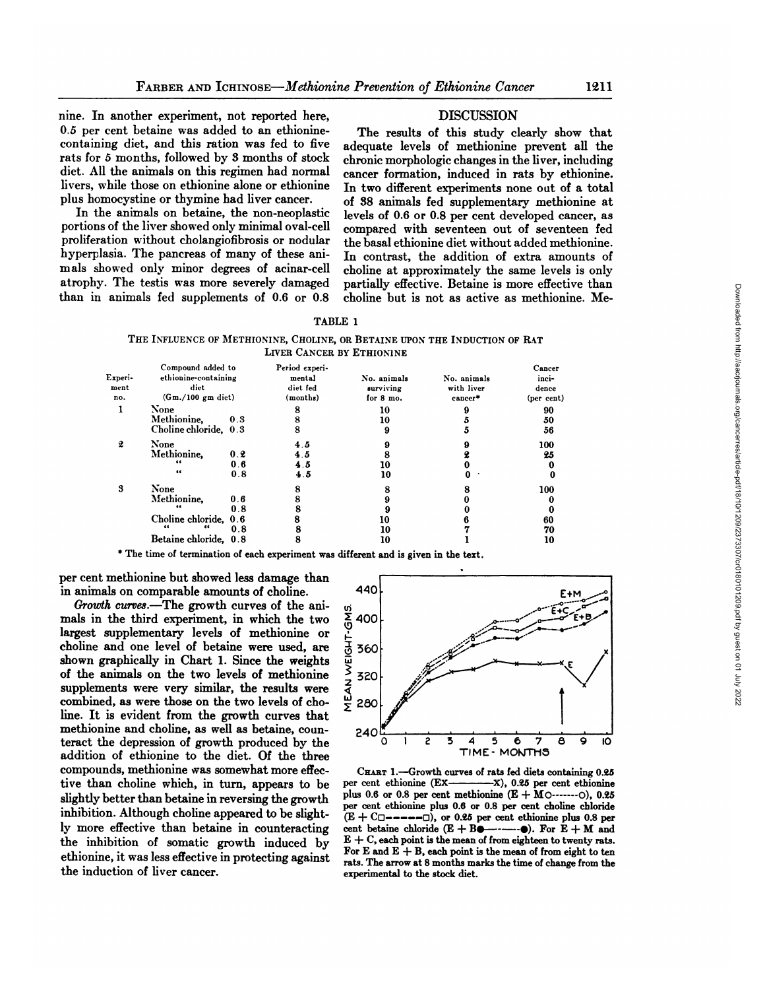nine. In another experiment, not reported here, 0.5 per cent betaine was added to an ethioninecontaining diet, and this ration was fed to five rats for 5 months, followed by 3 months of stock diet. All the animals on this regimen had normal livers, while those on ethionine alone or ethionine plus homocystine or thymine had liver cancer.

In the animals on betaine, the non-neoplastic portions of the liver showed only minimal oval-cell proliferation without cholangiofibrosis or nodular hyperplasia. The pancreas of many of these ani mals showed only minor degrees of acinar-cell atrophy. The testis was more severely damaged than in animals fed supplements of 0.6 or 0.8

## DISCUSSION

The results of this study clearly show that adequate levels of methionine prevent all the chronic morphologic changes in the liver, including cancer formation, induced in rats by ethionine. In two different experiments none out of a total of 38 animals fed supplementary methionine at levels of 0.6 or 0.8 per cent developed cancer, as compared with seventeen out of seventeen fed the basal ethionine diet without added methionine. In contrast, the addition of extra amounts of choline atapproximately the same levels is only partially effective. Betaine is more effective than choline but is not as active as methionine. Me-

THE INFLUENCE OF METHIONINE, CHOLINE, OR BETAINE UPON THE INDUCTION OF RAT LIVER CANCER BY ETHIONINE

| Experi-<br>ment<br>no. | Compound added to<br>ethionine-containing<br>diet<br>$(Gm./100$ gm diet) |                   | Period experi-<br>mental<br>diet fed<br>(months) | No. animals<br>surviving<br>for 8 mo. | No. animals<br>with liver<br>cancer* | Cancer<br>inci-<br>dence<br>(per cent) |
|------------------------|--------------------------------------------------------------------------|-------------------|--------------------------------------------------|---------------------------------------|--------------------------------------|----------------------------------------|
| 1                      | None<br>Methionine.                                                      | 0.3               | 8<br>8                                           | 10<br>10                              |                                      | 90<br>50                               |
|                        | Choline chloride, 0.3                                                    |                   | 8                                                | 9                                     | י                                    | 56                                     |
| 2                      | None<br>Methionine.<br>"<br>66                                           | 0.2<br>0.6<br>0.8 | 4.5<br>4.5<br>4.5<br>4.5                         | 9<br>8<br>10                          |                                      | 100<br>25<br>0                         |
| 3                      | None<br>Methionine.                                                      | 0.6<br>0.8        | 8                                                | 10<br>8                               | 0                                    | 0<br>100<br>0<br>0                     |
|                        | Choline chloride, 0.6<br>Betaine chloride, 0.8                           | 0.8               | 8<br>8                                           | 10<br>10<br>10                        |                                      | 60<br>70<br>10                         |

\* The time of termination of each experiment was different and is given in the text.

per cent methionine but showed less damage than in animals on comparable amounts of choline.

*Growth curves.—Thegrowth curves of the ani* mals in the third experiment, in which the two largest supplementary levels of methionine or choline and one level of betaine were used, are shown graphically in Chart 1. Since the weights of the animals on the two levels of methionine supplements were very similar, the results were combined, as were those on the two levels of cho line. It is evident from the growth curves that methionine and choline, as well as betaine, coun teract the depression of growth produced by the addition of ethionine to the diet. Of the three compounds, methionine was somewhat more effec-<br>tive than choline which, in turn, appears to be per cent ethionine (Extive than choline which, in turn, appears to be slightly better than betaine in reversing the growth inhibition. Although choline appeared to be slight ly more effective than betaine in counteracting the inhibition of somatic growth induced by ethionine, it was less effective in protecting against the induction of liver cancer.



CHART 1.—Growth curves of rats fed diets containing 0.25  $-X$ ), 0.25 per cent ethionine plus 0.6 or 0.8 per cent methionine  $(E + MO^{...} - O)$ , 0.25 per cent ethionine plus 0.6 or 0.8 per cent choline chloride  $(E + C)$  ------  $\Box$ ), or 0.25 per cent ethionine plus 0.8 per cent betaine chloride  $(E + B \bullet \cdots \bullet)$ . For  $E + M$  and  $E + C$ , each point is the mean of from eighteen to twenty rats. For E and  $E + B$ , each point is the mean of from eight to ten rats. The arrow at 8 months marks the time of change from the experimental to the stock diet.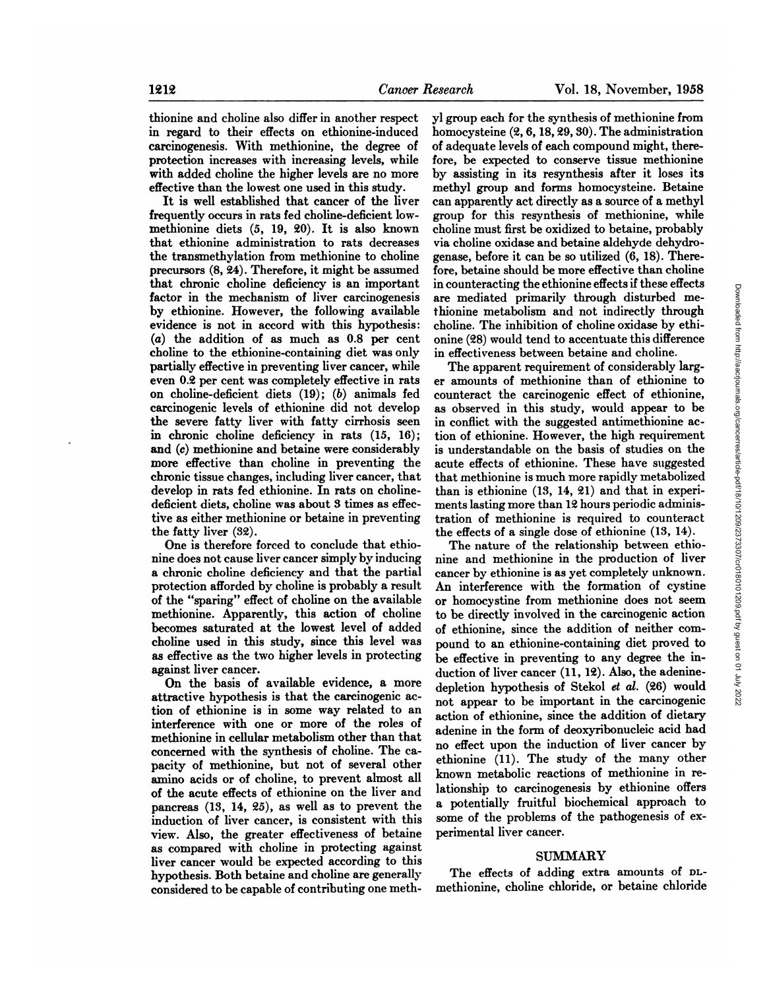effective than the lowest one used in this study. It is well established that cancer of the liver frequently occurs in rats fed choline-deficient lowmethionine diets (5, 19, 20). It is also known that ethionine administration to rats decreases the transmethylation from methionine to choline precursors (8, 24). Therefore, it might be assumed that chronic choline deficiency is an important factor in the mechanism of liver carcinogenesis by ethionine. However, the following available evidence is not in accord with this hypothesis: (a) the addition of as much as 0.8 per cent choline to the ethionine-containing diet was only partially effective in preventing liver cancer, while even 0.2 per cent was completely effective in rats on choline-deficient diets  $(19)$ ;  $(b)$  animals fed carcinogenic levels of ethionine did not develop the severe fatty liver with fatty cirrhosis seen in chronic choline deficiency in rats (15, 16); and (c) methionine and betaine were considerably more effective than choline in preventing the chronic tissue changes, including liver cancer, that develop in rats fed ethionine. In rats on cholinedeficient diets, choline was about 3 times as effec tive as either methionine or betaine in preventing the fatty liver (32).

One is therefore forced to conclude that ethio nine does not cause liver cancer simply by inducing a chronic choline deficiency and that the partial protection afforded by choline is probably a result of the "sparing" effect of choline on the available methionine. Apparently, this action of choline becomes saturated at the lowest level of added choline used in this study, since this level was as effective as the two higher levels in protecting against liver cancer.

On the basis of available evidence, a more attractive hypothesis is that the carcinogenic ac tion of ethionine is in some way related to an interference with one or more of the roles of methionine in cellular metabolism other than that concerned with the synthesis of choline. The ca pacity of methionine, but not of several other amino acids or of choline, to prevent almost all of the acute effects of ethionine on the liver and pancreas (13, 14, 25), as well as to prevent the induction of liver cancer, is consistent with this view. Also, the greater effectiveness of betaine as compared with choline in protecting against liver cancer would be expected according to this hypothesis. Both betaine and choline are generally considered to be capable of contributing one meth

yl group each for the synthesis of methionine from homocysteine (2,6,18,29,30). The administration of adequate levels of each compound might, there fore, be expected to conserve tissue methionine by assisting in its resynthesis after it loses its methyl group and forms homocysteine. Betaine can apparently act directly as a source of a methyl group for this resynthesis of methionine, while choline must first be oxidized to betaine, probably via choline oxidase and betaine aldehyde dehydrogenase, before it can be so utilized (6, 18). There fore, betaine should be more effective than choline are mediated primarily through disturbed me thionine metabolism and not indirectly through choline. The inhibition of choline oxidase by ethi onine (28) would tend to accentuate this difference in effectiveness between betaine and choline.

in counteracting the ethionine effects if these effects<br>
rememberalized primarily through<br>
achionine metabolism and not indirectly through<br>
choline. The inhibition of choline oxidase by ethi-<br>
onine (28) would tend to acc The apparent requirement of considerably larg er amounts of methionine than of ethionine to counteract the carcinogenic effect of ethionine, as observed in this study, would appear to be in conflict with the suggested antimethionine ac tion of ethionine. However, the high requirement is understandable on the basis of studies on the acute effects of ethionine. These have suggested that methionine is much more rapidly metabolized than is ethionine (13, 14, 21) and that in experi ments lasting more than 12 hours periodic adminis tration of methionine is required to counteract the effects of a single dose of ethionine (13, 14).

The nature of the relationship between ethio nine and methionine in the production of liver cancer by ethionine is as yet completely unknown. An interference with the formation of cystine or homocystine from methionine does not seem to be directly involved in the carcinogenic action of ethionine, since the addition of neither com pound to an ethionine-containing diet proved to be effective in preventing to any degree the in duction of liver cancer (11, 12). Also, the adeninedepletion hypothesis of Stekol et al. (26) would not appear to be important in the carcinogenic action of ethionine, since the addition of dietary adenine in the form of deoxyribonucleic acid had no effect upon the induction of liver cancer by ethionine (11). The study of the many other known metabolic reactions of methionine in re lationship to carcinogenesis by ethionine offers a potentially fruitful biochemical approach to some of the problems of the pathogenesis of ex perimental liver cancer.

### SUMMARY

The effects of adding extra amounts of DLmethionine, choline chloride, or betaine chloride